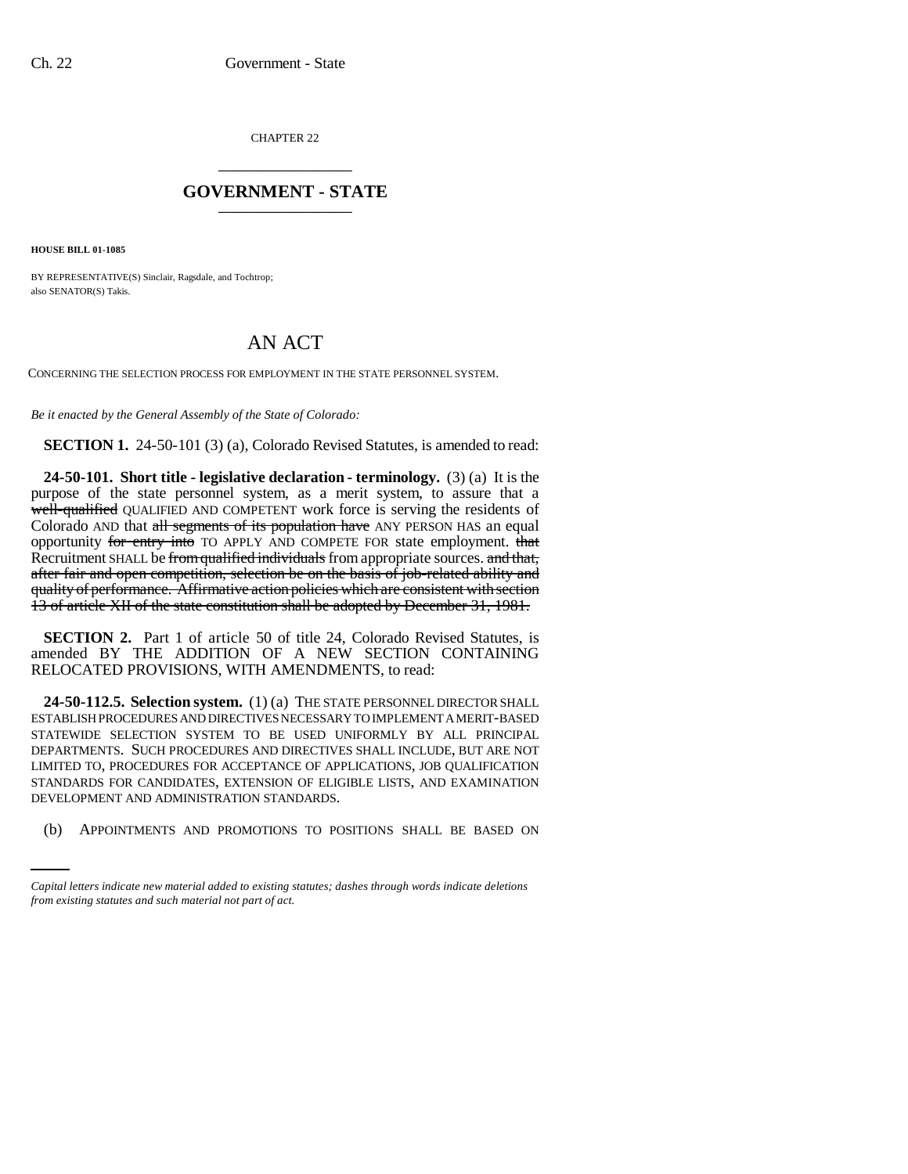CHAPTER 22 \_\_\_\_\_\_\_\_\_\_\_\_\_\_\_

## **GOVERNMENT - STATE** \_\_\_\_\_\_\_\_\_\_\_\_\_\_\_

**HOUSE BILL 01-1085**

BY REPRESENTATIVE(S) Sinclair, Ragsdale, and Tochtrop; also SENATOR(S) Takis.

## AN ACT

CONCERNING THE SELECTION PROCESS FOR EMPLOYMENT IN THE STATE PERSONNEL SYSTEM.

*Be it enacted by the General Assembly of the State of Colorado:*

**SECTION 1.** 24-50-101 (3) (a), Colorado Revised Statutes, is amended to read:

**24-50-101. Short title - legislative declaration - terminology.** (3) (a) It is the purpose of the state personnel system, as a merit system, to assure that a well-qualified QUALIFIED AND COMPETENT work force is serving the residents of Colorado AND that all segments of its population have ANY PERSON HAS an equal opportunity for entry into TO APPLY AND COMPETE FOR state employment. that Recruitment SHALL be from qualified individuals from appropriate sources. and that, after fair and open competition, selection be on the basis of job-related ability and quality of performance. Affirmative action policies which are consistent with section 13 of article XII of the state constitution shall be adopted by December 31, 1981.

**SECTION 2.** Part 1 of article 50 of title 24, Colorado Revised Statutes, is amended BY THE ADDITION OF A NEW SECTION CONTAINING RELOCATED PROVISIONS, WITH AMENDMENTS, to read:

DEVELOPMENT AND ADMINISTRATION STANDARDS. **24-50-112.5. Selection system.** (1) (a) THE STATE PERSONNEL DIRECTOR SHALL ESTABLISH PROCEDURES AND DIRECTIVES NECESSARY TO IMPLEMENT A MERIT-BASED STATEWIDE SELECTION SYSTEM TO BE USED UNIFORMLY BY ALL PRINCIPAL DEPARTMENTS. SUCH PROCEDURES AND DIRECTIVES SHALL INCLUDE, BUT ARE NOT LIMITED TO, PROCEDURES FOR ACCEPTANCE OF APPLICATIONS, JOB QUALIFICATION STANDARDS FOR CANDIDATES, EXTENSION OF ELIGIBLE LISTS, AND EXAMINATION

(b) APPOINTMENTS AND PROMOTIONS TO POSITIONS SHALL BE BASED ON

*Capital letters indicate new material added to existing statutes; dashes through words indicate deletions from existing statutes and such material not part of act.*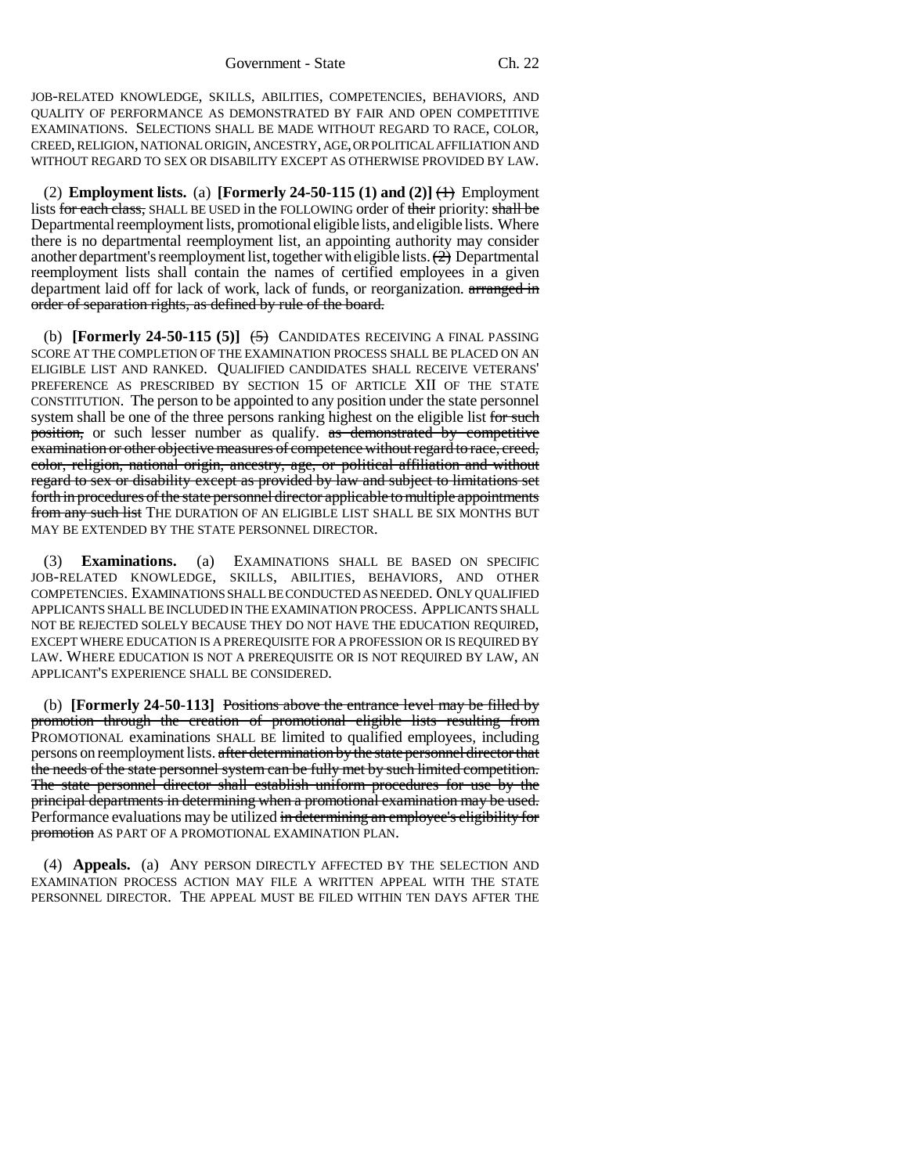JOB-RELATED KNOWLEDGE, SKILLS, ABILITIES, COMPETENCIES, BEHAVIORS, AND QUALITY OF PERFORMANCE AS DEMONSTRATED BY FAIR AND OPEN COMPETITIVE EXAMINATIONS. SELECTIONS SHALL BE MADE WITHOUT REGARD TO RACE, COLOR, CREED, RELIGION, NATIONAL ORIGIN, ANCESTRY, AGE, OR POLITICAL AFFILIATION AND WITHOUT REGARD TO SEX OR DISABILITY EXCEPT AS OTHERWISE PROVIDED BY LAW.

(2) **Employment lists.** (a) **[Formerly 24-50-115 (1) and (2)**]  $\leftrightarrow$  Employment lists for each class, SHALL BE USED in the FOLLOWING order of their priority: shall be Departmental reemployment lists, promotional eligible lists, and eligible lists. Where there is no departmental reemployment list, an appointing authority may consider another department's reemployment list, together with eligible lists.  $\left( \frac{1}{2} \right)$  Departmental reemployment lists shall contain the names of certified employees in a given department laid off for lack of work, lack of funds, or reorganization. arranged in order of separation rights, as defined by rule of the board.

(b) **[Formerly 24-50-115 (5)]** (5) CANDIDATES RECEIVING A FINAL PASSING SCORE AT THE COMPLETION OF THE EXAMINATION PROCESS SHALL BE PLACED ON AN ELIGIBLE LIST AND RANKED. QUALIFIED CANDIDATES SHALL RECEIVE VETERANS' PREFERENCE AS PRESCRIBED BY SECTION 15 OF ARTICLE XII OF THE STATE CONSTITUTION. The person to be appointed to any position under the state personnel system shall be one of the three persons ranking highest on the eligible list for such position, or such lesser number as qualify. as demonstrated by competitive examination or other objective measures of competence without regard to race, creed, color, religion, national origin, ancestry, age, or political affiliation and without regard to sex or disability except as provided by law and subject to limitations set forth in procedures of the state personnel director applicable to multiple appointments from any such list THE DURATION OF AN ELIGIBLE LIST SHALL BE SIX MONTHS BUT MAY BE EXTENDED BY THE STATE PERSONNEL DIRECTOR.

(3) **Examinations.** (a) EXAMINATIONS SHALL BE BASED ON SPECIFIC JOB-RELATED KNOWLEDGE, SKILLS, ABILITIES, BEHAVIORS, AND OTHER COMPETENCIES. EXAMINATIONS SHALL BE CONDUCTED AS NEEDED. ONLY QUALIFIED APPLICANTS SHALL BE INCLUDED IN THE EXAMINATION PROCESS. APPLICANTS SHALL NOT BE REJECTED SOLELY BECAUSE THEY DO NOT HAVE THE EDUCATION REQUIRED, EXCEPT WHERE EDUCATION IS A PREREQUISITE FOR A PROFESSION OR IS REQUIRED BY LAW. WHERE EDUCATION IS NOT A PREREQUISITE OR IS NOT REQUIRED BY LAW, AN APPLICANT'S EXPERIENCE SHALL BE CONSIDERED.

(b) **[Formerly 24-50-113]** Positions above the entrance level may be filled by promotion through the creation of promotional eligible lists resulting from PROMOTIONAL examinations SHALL BE limited to qualified employees, including persons on reemployment lists. after determination by the state personnel director that the needs of the state personnel system can be fully met by such limited competition. The state personnel director shall establish uniform procedures for use by the principal departments in determining when a promotional examination may be used. Performance evaluations may be utilized in determining an employee's eligibility for promotion AS PART OF A PROMOTIONAL EXAMINATION PLAN.

(4) **Appeals.** (a) ANY PERSON DIRECTLY AFFECTED BY THE SELECTION AND EXAMINATION PROCESS ACTION MAY FILE A WRITTEN APPEAL WITH THE STATE PERSONNEL DIRECTOR. THE APPEAL MUST BE FILED WITHIN TEN DAYS AFTER THE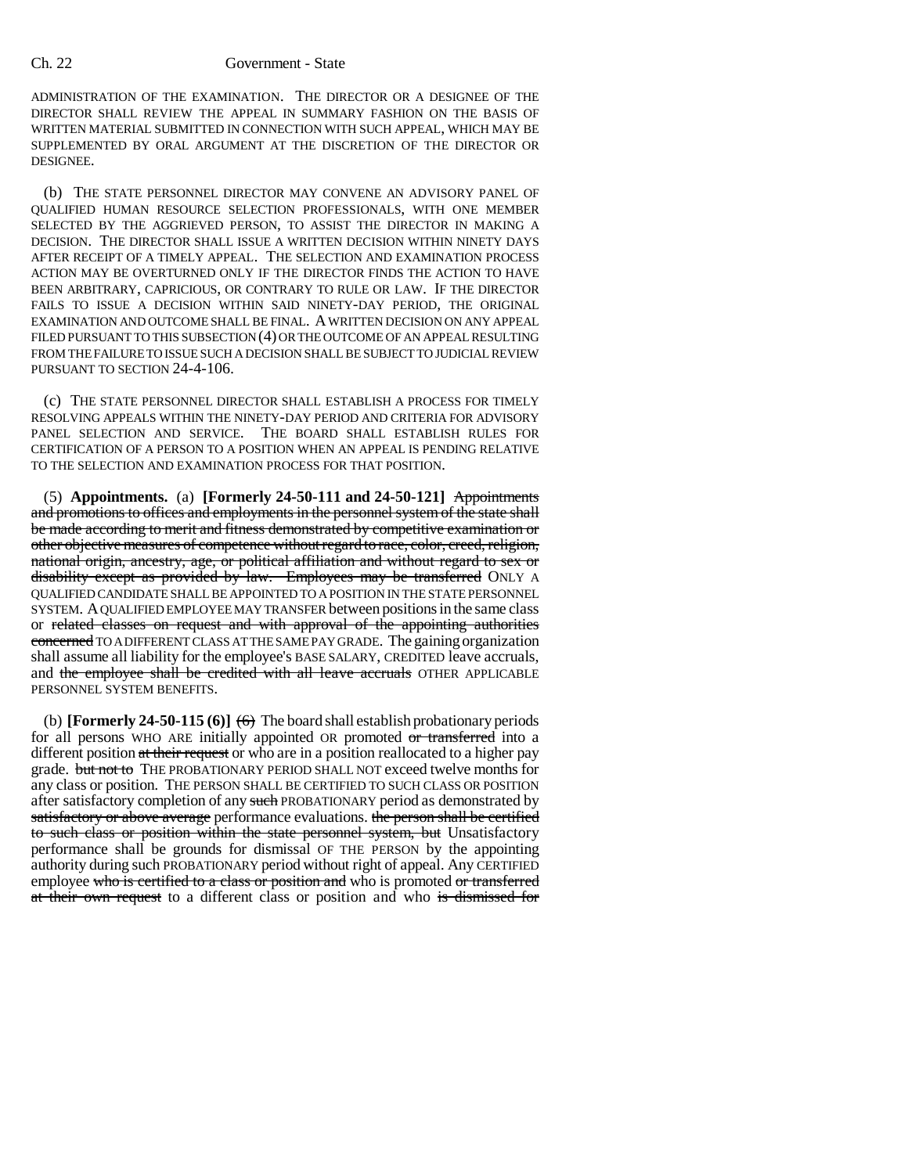ADMINISTRATION OF THE EXAMINATION. THE DIRECTOR OR A DESIGNEE OF THE DIRECTOR SHALL REVIEW THE APPEAL IN SUMMARY FASHION ON THE BASIS OF WRITTEN MATERIAL SUBMITTED IN CONNECTION WITH SUCH APPEAL, WHICH MAY BE SUPPLEMENTED BY ORAL ARGUMENT AT THE DISCRETION OF THE DIRECTOR OR DESIGNEE.

(b) THE STATE PERSONNEL DIRECTOR MAY CONVENE AN ADVISORY PANEL OF QUALIFIED HUMAN RESOURCE SELECTION PROFESSIONALS, WITH ONE MEMBER SELECTED BY THE AGGRIEVED PERSON, TO ASSIST THE DIRECTOR IN MAKING A DECISION. THE DIRECTOR SHALL ISSUE A WRITTEN DECISION WITHIN NINETY DAYS AFTER RECEIPT OF A TIMELY APPEAL. THE SELECTION AND EXAMINATION PROCESS ACTION MAY BE OVERTURNED ONLY IF THE DIRECTOR FINDS THE ACTION TO HAVE BEEN ARBITRARY, CAPRICIOUS, OR CONTRARY TO RULE OR LAW. IF THE DIRECTOR FAILS TO ISSUE A DECISION WITHIN SAID NINETY-DAY PERIOD, THE ORIGINAL EXAMINATION AND OUTCOME SHALL BE FINAL. A WRITTEN DECISION ON ANY APPEAL FILED PURSUANT TO THIS SUBSECTION (4) OR THE OUTCOME OF AN APPEAL RESULTING FROM THE FAILURE TO ISSUE SUCH A DECISION SHALL BE SUBJECT TO JUDICIAL REVIEW PURSUANT TO SECTION 24-4-106.

(c) THE STATE PERSONNEL DIRECTOR SHALL ESTABLISH A PROCESS FOR TIMELY RESOLVING APPEALS WITHIN THE NINETY-DAY PERIOD AND CRITERIA FOR ADVISORY PANEL SELECTION AND SERVICE. THE BOARD SHALL ESTABLISH RULES FOR CERTIFICATION OF A PERSON TO A POSITION WHEN AN APPEAL IS PENDING RELATIVE TO THE SELECTION AND EXAMINATION PROCESS FOR THAT POSITION.

(5) **Appointments.** (a) **[Formerly 24-50-111 and 24-50-121]** Appointments and promotions to offices and employments in the personnel system of the state shall be made according to merit and fitness demonstrated by competitive examination or other objective measures of competence without regard to race, color, creed, religion, national origin, ancestry, age, or political affiliation and without regard to sex or disability except as provided by law. Employees may be transferred ONLY A QUALIFIED CANDIDATE SHALL BE APPOINTED TO A POSITION IN THE STATE PERSONNEL SYSTEM. A QUALIFIED EMPLOYEE MAY TRANSFER between positions in the same class or related classes on request and with approval of the appointing authorities concerned TO A DIFFERENT CLASS AT THE SAME PAY GRADE. The gaining organization shall assume all liability for the employee's BASE SALARY, CREDITED leave accruals, and the employee shall be credited with all leave accruals OTHER APPLICABLE PERSONNEL SYSTEM BENEFITS.

(b) **[Formerly 24-50-115 (6)]**  $\leftrightarrow$  The board shall establish probationary periods for all persons WHO ARE initially appointed OR promoted or transferred into a different position at their request or who are in a position reallocated to a higher pay grade. but not to THE PROBATIONARY PERIOD SHALL NOT exceed twelve months for any class or position. THE PERSON SHALL BE CERTIFIED TO SUCH CLASS OR POSITION after satisfactory completion of any such PROBATIONARY period as demonstrated by satisfactory or above average performance evaluations. the person shall be certified to such class or position within the state personnel system, but Unsatisfactory performance shall be grounds for dismissal OF THE PERSON by the appointing authority during such PROBATIONARY period without right of appeal. Any CERTIFIED employee who is certified to a class or position and who is promoted or transferred at their own request to a different class or position and who is dismissed for